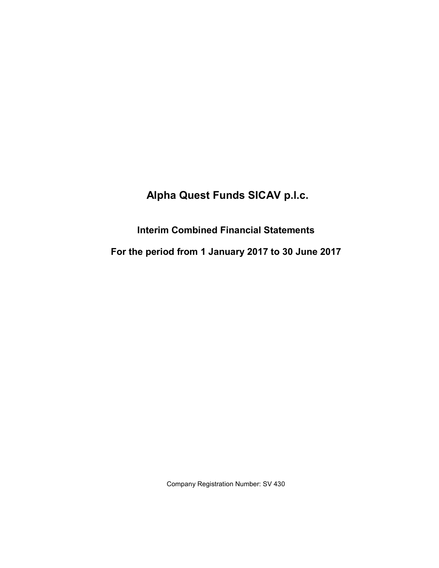# **Interim Combined Financial Statements**

**For the period from 1 January 2017 to 30 June 2017**

Company Registration Number: SV 430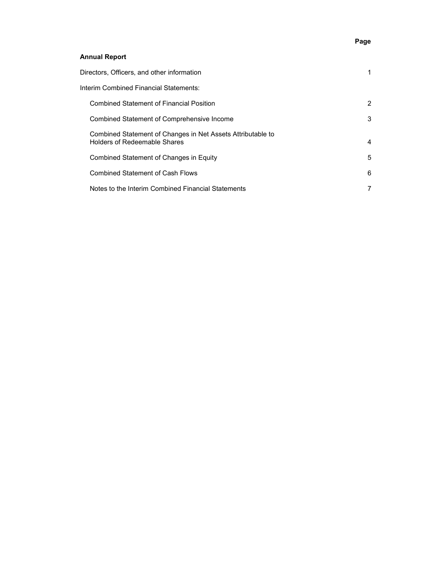# **Page**

# **Annual Report**

| Directors, Officers, and other information                                                  |                |
|---------------------------------------------------------------------------------------------|----------------|
| Interim Combined Financial Statements:                                                      |                |
| <b>Combined Statement of Financial Position</b>                                             | 2              |
| Combined Statement of Comprehensive Income                                                  | 3              |
| Combined Statement of Changes in Net Assets Attributable to<br>Holders of Redeemable Shares | 4              |
| Combined Statement of Changes in Equity                                                     | 5              |
| <b>Combined Statement of Cash Flows</b>                                                     | 6              |
| Notes to the Interim Combined Financial Statements                                          | $\overline{7}$ |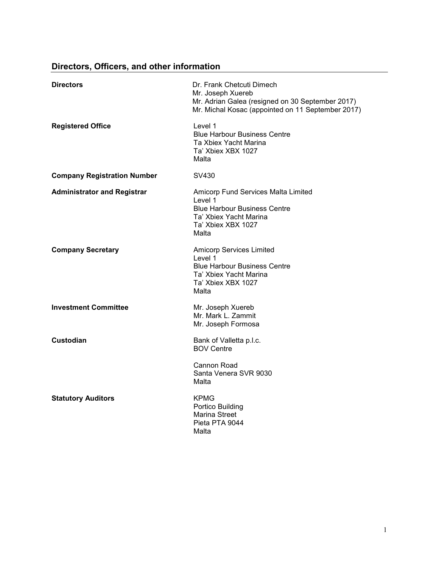# **Directors, Officers, and other information**

| <b>Directors</b>                   | Dr. Frank Chetcuti Dimech<br>Mr. Joseph Xuereb<br>Mr. Adrian Galea (resigned on 30 September 2017)<br>Mr. Michal Kosac (appointed on 11 September 2017) |
|------------------------------------|---------------------------------------------------------------------------------------------------------------------------------------------------------|
| <b>Registered Office</b>           | Level 1<br><b>Blue Harbour Business Centre</b><br>Ta Xbiex Yacht Marina<br>Ta' Xbiex XBX 1027<br>Malta                                                  |
| <b>Company Registration Number</b> | SV430                                                                                                                                                   |
| <b>Administrator and Registrar</b> | Amicorp Fund Services Malta Limited<br>Level 1<br><b>Blue Harbour Business Centre</b><br>Ta' Xbiex Yacht Marina<br>Ta' Xbiex XBX 1027<br>Malta          |
| <b>Company Secretary</b>           | Amicorp Services Limited<br>Level 1<br><b>Blue Harbour Business Centre</b><br>Ta' Xbiex Yacht Marina<br>Ta' Xbiex XBX 1027<br>Malta                     |
| <b>Investment Committee</b>        | Mr. Joseph Xuereb<br>Mr. Mark L. Zammit<br>Mr. Joseph Formosa                                                                                           |
| <b>Custodian</b>                   | Bank of Valletta p.l.c.<br><b>BOV Centre</b>                                                                                                            |
|                                    | Cannon Road<br>Santa Venera SVR 9030<br>Malta                                                                                                           |
| <b>Statutory Auditors</b>          | <b>KPMG</b><br>Portico Building<br>Marina Street<br>Pieta PTA 9044<br>Malta                                                                             |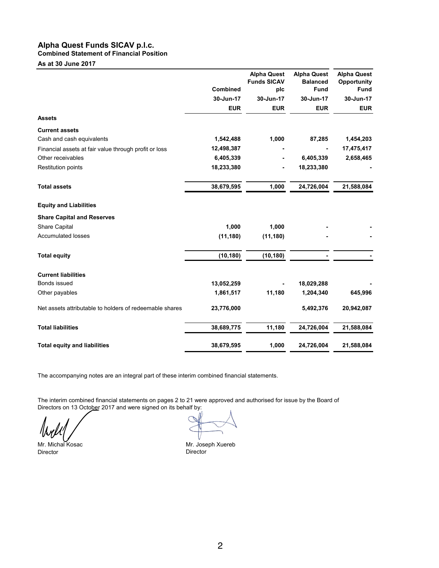## **Alpha Quest Funds SICAV p.l.c. Combined Statement of Financial Position**

**As at 30 June 2017**

|                                                         | <b>Combined</b> | <b>Alpha Quest</b><br><b>Funds SICAV</b><br>plc | <b>Alpha Quest</b><br><b>Balanced</b><br><b>Fund</b> | <b>Alpha Quest</b><br>Opportunity<br><b>Fund</b> |
|---------------------------------------------------------|-----------------|-------------------------------------------------|------------------------------------------------------|--------------------------------------------------|
|                                                         | 30-Jun-17       | 30-Jun-17                                       | 30-Jun-17                                            | 30-Jun-17                                        |
|                                                         | <b>EUR</b>      | <b>EUR</b>                                      | <b>EUR</b>                                           | <b>EUR</b>                                       |
| <b>Assets</b>                                           |                 |                                                 |                                                      |                                                  |
| <b>Current assets</b>                                   |                 |                                                 |                                                      |                                                  |
| Cash and cash equivalents                               | 1,542,488       | 1,000                                           | 87,285                                               | 1,454,203                                        |
| Financial assets at fair value through profit or loss   | 12,498,387      |                                                 |                                                      | 17,475,417                                       |
| Other receivables                                       | 6,405,339       |                                                 | 6,405,339                                            | 2,658,465                                        |
| <b>Restitution points</b>                               | 18,233,380      |                                                 | 18,233,380                                           |                                                  |
| <b>Total assets</b>                                     | 38,679,595      | 1,000                                           | 24,726,004                                           | 21,588,084                                       |
| <b>Equity and Liabilities</b>                           |                 |                                                 |                                                      |                                                  |
| <b>Share Capital and Reserves</b>                       |                 |                                                 |                                                      |                                                  |
| <b>Share Capital</b>                                    | 1,000           | 1,000                                           |                                                      |                                                  |
| <b>Accumulated losses</b>                               | (11, 180)       | (11, 180)                                       |                                                      |                                                  |
| <b>Total equity</b>                                     | (10, 180)       | (10, 180)                                       |                                                      |                                                  |
| <b>Current liabilities</b>                              |                 |                                                 |                                                      |                                                  |
| Bonds issued                                            | 13,052,259      |                                                 | 18,029,288                                           |                                                  |
| Other payables                                          | 1,861,517       | 11,180                                          | 1,204,340                                            | 645,996                                          |
| Net assets attributable to holders of redeemable shares | 23,776,000      |                                                 | 5,492,376                                            | 20,942,087                                       |
| <b>Total liabilities</b>                                | 38,689,775      | 11,180                                          | 24,726,004                                           | 21,588,084                                       |
| <b>Total equity and liabilities</b>                     | 38,679,595      | 1,000                                           | 24,726,004                                           | 21,588,084                                       |

The accompanying notes are an integral part of these interim combined financial statements.

The interim combined financial statements on pages 2 to 21 were approved and authorised for issue by the Board of Directors on 13 October 2017 and were signed on its behalf by:

Mr. Michal Kosac Mr. Joseph Xuereb Director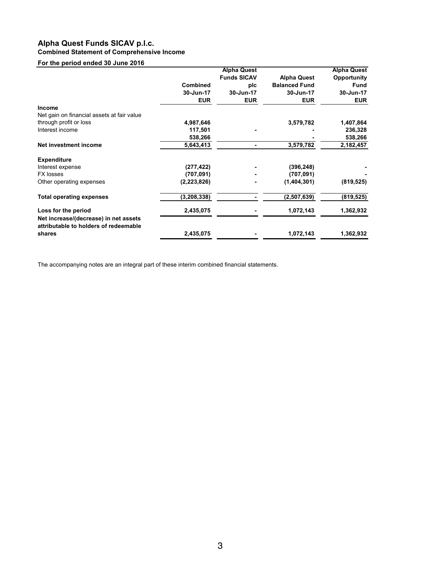## **Alpha Quest Funds SICAV p.l.c. Combined Statement of Comprehensive Income**

## **For the period ended 30 June 2016**

|                                                                                |                 | <b>Alpha Quest</b> |                      | <b>Alpha Quest</b> |
|--------------------------------------------------------------------------------|-----------------|--------------------|----------------------|--------------------|
|                                                                                |                 | <b>Funds SICAV</b> | <b>Alpha Quest</b>   | Opportunity        |
|                                                                                | <b>Combined</b> | plc                | <b>Balanced Fund</b> | <b>Fund</b>        |
|                                                                                | 30-Jun-17       | 30-Jun-17          | 30-Jun-17            | 30-Jun-17          |
|                                                                                | <b>EUR</b>      | <b>EUR</b>         | <b>EUR</b>           | <b>EUR</b>         |
| <b>Income</b>                                                                  |                 |                    |                      |                    |
| Net gain on financial assets at fair value                                     |                 |                    |                      |                    |
| through profit or loss                                                         | 4,987,646       |                    | 3,579,782            | 1,407,864          |
| Interest income                                                                | 117,501         |                    |                      | 236,328            |
|                                                                                | 538,266         |                    |                      | 538,266            |
| Net investment income                                                          | 5,643,413       |                    | 3,579,782            | 2,182,457          |
| <b>Expenditure</b>                                                             |                 |                    |                      |                    |
| Interest expense                                                               | (277, 422)      |                    | (396, 248)           |                    |
| <b>FX losses</b>                                                               | (707, 091)      |                    | (707, 091)           |                    |
| Other operating expenses                                                       | (2,223,826)     |                    | (1,404,301)          | (819, 525)         |
| <b>Total operating expenses</b>                                                | (3, 208, 338)   |                    | (2,507,639)          | (819, 525)         |
| Loss for the period                                                            | 2,435,075       |                    | 1,072,143            | 1,362,932          |
| Net increase/(decrease) in net assets<br>attributable to holders of redeemable |                 |                    |                      |                    |
| shares                                                                         | 2,435,075       |                    | 1,072,143            | 1,362,932          |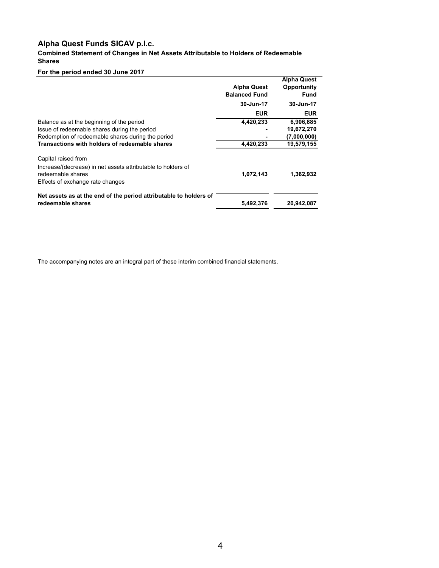**Combined Statement of Changes in Net Assets Attributable to Holders of Redeemable Shares**

## **For the period ended 30 June 2017**

|                                                                   | <b>Alpha Quest</b><br><b>Balanced Fund</b> | <b>Alpha Quest</b><br>Opportunity<br><b>Fund</b> |
|-------------------------------------------------------------------|--------------------------------------------|--------------------------------------------------|
|                                                                   | 30-Jun-17                                  | 30-Jun-17                                        |
|                                                                   | <b>EUR</b>                                 | <b>EUR</b>                                       |
| Balance as at the beginning of the period                         | 4,420,233                                  | 6,906,885                                        |
| Issue of redeemable shares during the period                      |                                            | 19,672,270                                       |
| Redemption of redeemable shares during the period                 |                                            | (7,000,000)                                      |
| Transactions with holders of redeemable shares                    | 4,420,233                                  | 19,579,155                                       |
| Capital raised from                                               |                                            |                                                  |
| Increase/(decrease) in net assets attributable to holders of      |                                            |                                                  |
| redeemable shares                                                 | 1,072,143                                  | 1,362,932                                        |
| Effects of exchange rate changes                                  |                                            |                                                  |
| Net assets as at the end of the period attributable to holders of |                                            |                                                  |
| redeemable shares                                                 | 5,492,376                                  | 20,942,087                                       |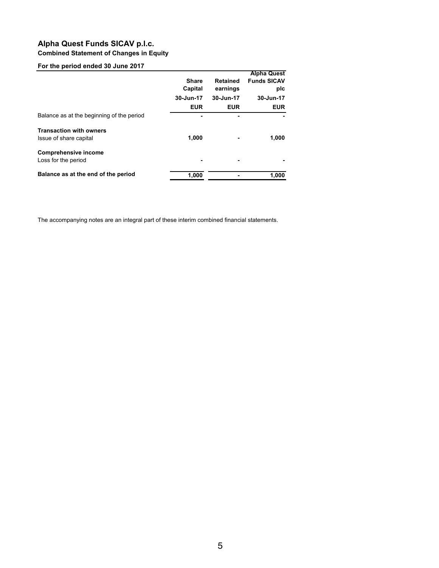## **Alpha Quest Funds SICAV p.l.c. Combined Statement of Changes in Equity**

## **For the period ended 30 June 2017**

|                                                          | <b>Share</b><br>Capital<br>30-Jun-17 | <b>Retained</b><br>earnings<br>30-Jun-17 | <b>Alpha Quest</b><br><b>Funds SICAV</b><br>plc<br>30-Jun-17 |
|----------------------------------------------------------|--------------------------------------|------------------------------------------|--------------------------------------------------------------|
|                                                          | <b>EUR</b>                           | <b>EUR</b>                               | <b>EUR</b>                                                   |
| Balance as at the beginning of the period                |                                      |                                          |                                                              |
| <b>Transaction with owners</b><br>Issue of share capital | 1,000                                |                                          | 1,000                                                        |
| <b>Comprehensive income</b><br>Loss for the period       |                                      | ۰                                        |                                                              |
| Balance as at the end of the period                      | 1,000                                |                                          | 1,000                                                        |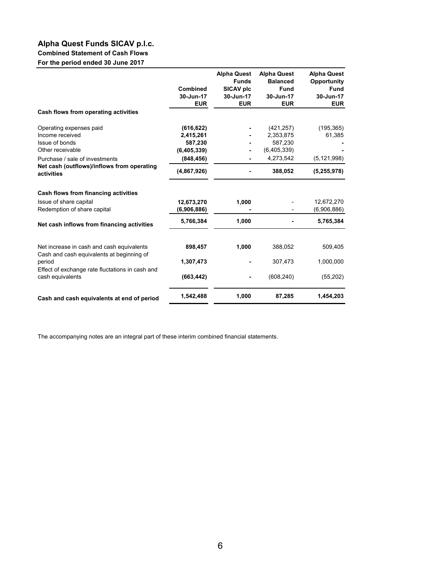## **Alpha Quest Funds SICAV p.l.c. Combined Statement of Cash Flows**

**For the period ended 30 June 2017**

|                                                                                            | Combined<br>30-Jun-17<br><b>EUR</b>  | <b>Alpha Quest</b><br><b>Funds</b><br>SICAV plc<br>30-Jun-17<br><b>EUR</b> | <b>Alpha Quest</b><br><b>Balanced</b><br><b>Fund</b><br>30-Jun-17<br><b>EUR</b> | <b>Alpha Quest</b><br>Opportunity<br><b>Fund</b><br>30-Jun-17<br><b>EUR</b> |
|--------------------------------------------------------------------------------------------|--------------------------------------|----------------------------------------------------------------------------|---------------------------------------------------------------------------------|-----------------------------------------------------------------------------|
| Cash flows from operating activities                                                       |                                      |                                                                            |                                                                                 |                                                                             |
| Operating expenses paid<br>Income received                                                 | (616, 622)<br>2,415,261              |                                                                            | (421, 257)<br>2,353,875                                                         | (195, 365)<br>61,385                                                        |
| Issue of bonds<br>Other receivable                                                         | 587,230<br>(6,405,339)<br>(848, 456) |                                                                            | 587,230<br>(6,405,339)<br>4,273,542                                             |                                                                             |
| Purchase / sale of investments<br>Net cash (outflows)/inflows from operating<br>activities | (4,867,926)                          |                                                                            | 388,052                                                                         | (5, 121, 998)<br>(5, 255, 978)                                              |
| Cash flows from financing activities                                                       |                                      |                                                                            |                                                                                 |                                                                             |
| Issue of share capital<br>Redemption of share capital                                      | 12,673,270<br>(6,906,886)            | 1,000                                                                      |                                                                                 | 12,672,270<br>(6,906,886)                                                   |
| Net cash inflows from financing activities                                                 | 5,766,384                            | 1,000                                                                      |                                                                                 | 5,765,384                                                                   |
| Net increase in cash and cash equivalents<br>Cash and cash equivalents at beginning of     | 898,457                              | 1,000                                                                      | 388,052                                                                         | 509,405                                                                     |
| period                                                                                     | 1,307,473                            |                                                                            | 307.473                                                                         | 1,000,000                                                                   |
| Effect of exchange rate fluctations in cash and<br>cash equivalents                        | (663, 442)                           |                                                                            | (608, 240)                                                                      | (55, 202)                                                                   |
| Cash and cash equivalents at end of period                                                 | 1,542,488                            | 1,000                                                                      | 87,285                                                                          | 1,454,203                                                                   |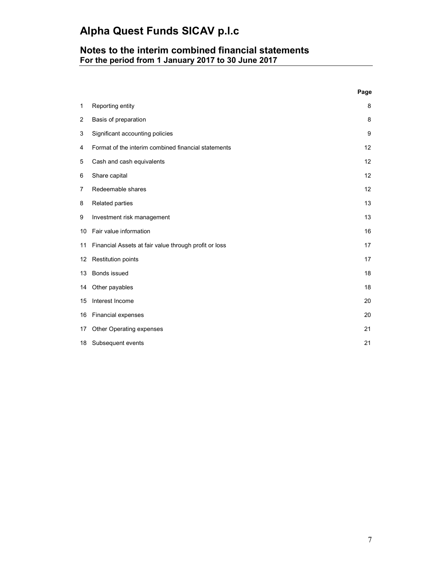# **Notes to the interim combined financial statements For the period from 1 January 2017 to 30 June 2017**

|                  |                                                       | Page |
|------------------|-------------------------------------------------------|------|
| 1                | Reporting entity                                      | 8    |
| $\overline{2}$   | Basis of preparation                                  | 8    |
| 3                | Significant accounting policies                       | 9    |
| 4                | Format of the interim combined financial statements   | 12   |
| 5                | Cash and cash equivalents                             | 12   |
| 6                | Share capital                                         | 12   |
| 7                | Redeemable shares                                     | 12   |
| 8                | Related parties                                       | 13   |
| 9                | Investment risk management                            | 13   |
| 10               | Fair value information                                | 16   |
| 11               | Financial Assets at fair value through profit or loss | 17   |
| 12 <sup>12</sup> | <b>Restitution points</b>                             | 17   |
| 13               | Bonds issued                                          | 18   |
| 14               | Other payables                                        | 18   |
| 15               | Interest Income                                       | 20   |
| 16               | Financial expenses                                    | 20   |
| 17               | Other Operating expenses                              | 21   |
| 18               | Subsequent events                                     | 21   |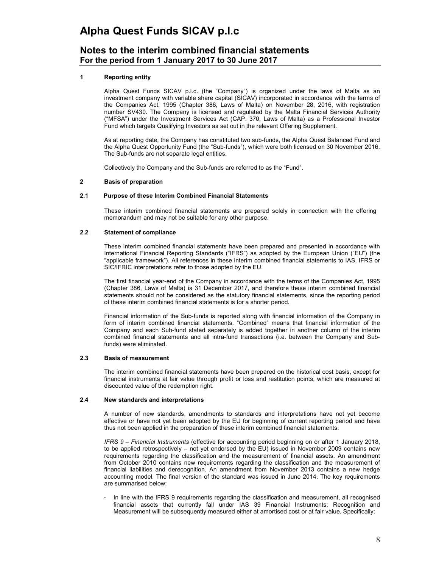# **Notes to the interim combined financial statements For the period from 1 January 2017 to 30 June 2017**

## **1 Reporting entity**

Alpha Quest Funds SICAV p.l.c. (the "Company") is organized under the laws of Malta as an investment company with variable share capital (SICAV) incorporated in accordance with the terms of the Companies Act, 1995 (Chapter 386, Laws of Malta) on November 28, 2016, with registration number SV430. The Company is licensed and regulated by the Malta Financial Services Authority ("MFSA") under the Investment Services Act (CAP. 370, Laws of Malta) as a Professional Investor Fund which targets Qualifying Investors as set out in the relevant Offering Supplement.

As at reporting date, the Company has constituted two sub-funds, the Alpha Quest Balanced Fund and the Alpha Quest Opportunity Fund (the "Sub-funds"), which were both licensed on 30 November 2016. The Sub-funds are not separate legal entities.

Collectively the Company and the Sub-funds are referred to as the "Fund".

### **2 Basis of preparation**

### **2.1 Purpose of these Interim Combined Financial Statements**

These interim combined financial statements are prepared solely in connection with the offering memorandum and may not be suitable for any other purpose.

### **2.2 Statement of compliance**

These interim combined financial statements have been prepared and presented in accordance with International Financial Reporting Standards ("IFRS") as adopted by the European Union ("EU") (the "applicable framework"). All references in these interim combined financial statements to IAS, IFRS or SIC/IFRIC interpretations refer to those adopted by the EU.

The first financial year-end of the Company in accordance with the terms of the Companies Act, 1995 (Chapter 386, Laws of Malta) is 31 December 2017, and therefore these interim combined financial statements should not be considered as the statutory financial statements, since the reporting period of these interim combined financial statements is for a shorter period.

Financial information of the Sub-funds is reported along with financial information of the Company in form of interim combined financial statements. "Combined" means that financial information of the Company and each Sub-fund stated separately is added together in another column of the interim combined financial statements and all intra-fund transactions (i.e. between the Company and Subfunds) were eliminated.

### **2.3 Basis of measurement**

The interim combined financial statements have been prepared on the historical cost basis, except for financial instruments at fair value through profit or loss and restitution points, which are measured at discounted value of the redemption right.

### **2.4 New standards and interpretations**

A number of new standards, amendments to standards and interpretations have not yet become effective or have not yet been adopted by the EU for beginning of current reporting period and have thus not been applied in the preparation of these interim combined financial statements:

*IFRS 9 – Financial Instruments* (effective for accounting period beginning on or after 1 January 2018, to be applied retrospectively – not yet endorsed by the EU) issued in November 2009 contains new requirements regarding the classification and the measurement of financial assets. An amendment from October 2010 contains new requirements regarding the classification and the measurement of financial liabilities and derecognition. An amendment from November 2013 contains a new hedge accounting model. The final version of the standard was issued in June 2014. The key requirements are summarised below:

In line with the IFRS 9 requirements regarding the classification and measurement, all recognised financial assets that currently fall under IAS 39 Financial Instruments: Recognition and Measurement will be subsequently measured either at amortised cost or at fair value. Specifically: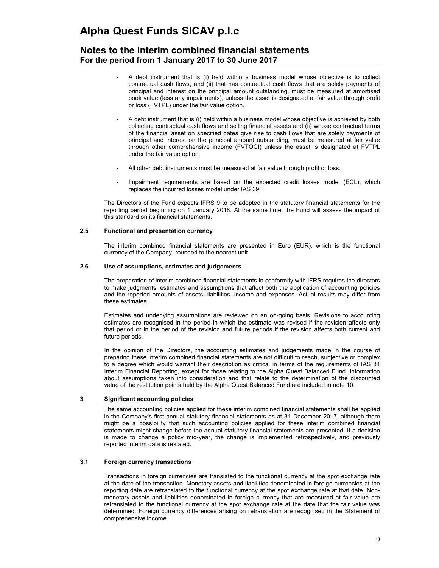# **Notes to the interim combined financial statements For the period from 1 January 2017 to 30 June 2017**

- A debt instrument that is (i) held within a business model whose objective is to collect contractual cash flows, and (ii) that has contractual cash flows that are solely payments of principal and interest on the principal amount outstanding, must be measured at amortised book value (less any impairments), unless the asset is designated at fair value through profit or loss (FVTPL) under the fair value option.
- A debt instrument that is (i) held within a business model whose objective is achieved by both collecting contractual cash flows and selling financial assets and (ii) whose contractual terms of the financial asset on specified dates give rise to cash flows that are solely payments of principal and interest on the principal amount outstanding, must be measured at fair value through other comprehensive income (FVTOCI) unless the asset is designated at FVTPL under the fair value option.
- All other debt instruments must be measured at fair value through profit or loss.
- Impairment requirements are based on the expected credit losses model (ECL), which replaces the incurred losses model under IAS 39.

The Directors of the Fund expects IFRS 9 to be adopted in the statutory financial statements for the reporting period beginning on 1 January 2018. At the same time, the Fund will assess the impact of this standard on its financial statements.

## **2.5 Functional and presentation currency**

The interim combined financial statements are presented in Euro (EUR), which is the functional currency of the Company, rounded to the nearest unit.

### **2.6 Use of assumptions, estimates and judgements**

The preparation of interim combined financial statements in conformity with IFRS requires the directors to make judgments, estimates and assumptions that affect both the application of accounting policies and the reported amounts of assets, liabilities, income and expenses. Actual results may differ from these estimates.

Estimates and underlying assumptions are reviewed on an on-going basis. Revisions to accounting estimates are recognised in the period in which the estimate was revised if the revision affects only that period or in the period of the revision and future periods if the revision affects both current and future periods.

In the opinion of the Directors, the accounting estimates and judgements made in the course of preparing these interim combined financial statements are not difficult to reach, subjective or complex to a degree which would warrant their description as critical in terms of the requirements of IAS 34 Interim Financial Reporting, except for those relating to the Alpha Quest Balanced Fund. Information about assumptions taken into consideration and that relate to the determination of the discounted value of the restitution points held by the Alpha Quest Balanced Fund are included in note 10.

### **3 Significant accounting policies**

The same accounting policies applied for these interim combined financial statements shall be applied in the Company's first annual statutory financial statements as at 31 December 2017, although there might be a possibility that such accounting policies applied for these interim combined financial statements might change before the annual statutory financial statements are presented. If a decision is made to change a policy mid-year, the change is implemented retrospectively, and previously reported interim data is restated.

### **3.1 Foreign currency transactions**

Transactions in foreign currencies are translated to the functional currency at the spot exchange rate at the date of the transaction. Monetary assets and liabilities denominated in foreign currencies at the reporting date are retranslated to the functional currency at the spot exchange rate at that date. Nonmonetary assets and liabilities denominated in foreign currency that are measured at fair value are retranslated to the functional currency at the spot exchange rate at the date that the fair value was determined. Foreign currency differences arising on retranslation are recognised in the Statement of comprehensive income.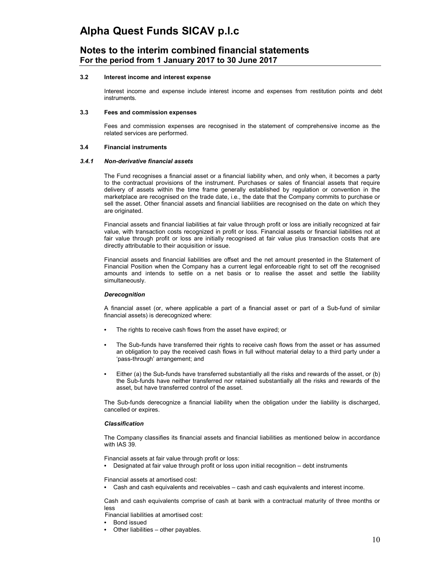## **Notes to the interim combined financial statements For the period from 1 January 2017 to 30 June 2017**

### **3.2 Interest income and interest expense**

Interest income and expense include interest income and expenses from restitution points and debt instruments.

#### **3.3 Fees and commission expenses**

Fees and commission expenses are recognised in the statement of comprehensive income as the related services are performed.

### **3.4 Financial instruments**

### *3.4.1 Non-derivative financial assets*

The Fund recognises a financial asset or a financial liability when, and only when, it becomes a party to the contractual provisions of the instrument. Purchases or sales of financial assets that require delivery of assets within the time frame generally established by regulation or convention in the marketplace are recognised on the trade date, i.e., the date that the Company commits to purchase or sell the asset. Other financial assets and financial liabilities are recognised on the date on which they are originated.

Financial assets and financial liabilities at fair value through profit or loss are initially recognized at fair value, with transaction costs recognized in profit or loss. Financial assets or financial liabilities not at fair value through profit or loss are initially recognised at fair value plus transaction costs that are directly attributable to their acquisition or issue.

Financial assets and financial liabilities are offset and the net amount presented in the Statement of Financial Position when the Company has a current legal enforceable right to set off the recognised amounts and intends to settle on a net basis or to realise the asset and settle the liability simultaneously.

#### *Derecognition*

A financial asset (or, where applicable a part of a financial asset or part of a Sub-fund of similar financial assets) is derecognized where:

- The rights to receive cash flows from the asset have expired; or
- The Sub-funds have transferred their rights to receive cash flows from the asset or has assumed an obligation to pay the received cash flows in full without material delay to a third party under a 'pass-through' arrangement; and
- Either (a) the Sub-funds have transferred substantially all the risks and rewards of the asset, or (b) the Sub-funds have neither transferred nor retained substantially all the risks and rewards of the asset, but have transferred control of the asset.

The Sub-funds derecognize a financial liability when the obligation under the liability is discharged, cancelled or expires.

#### *Classification*

The Company classifies its financial assets and financial liabilities as mentioned below in accordance with IAS 39.

Financial assets at fair value through profit or loss:

• Designated at fair value through profit or loss upon initial recognition – debt instruments

Financial assets at amortised cost:

• Cash and cash equivalents and receivables – cash and cash equivalents and interest income.

Cash and cash equivalents comprise of cash at bank with a contractual maturity of three months or less

Financial liabilities at amortised cost:

- Bond issued
- Other liabilities other payables.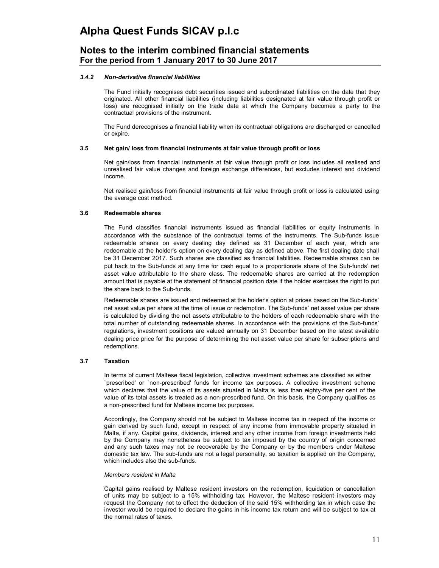# **Notes to the interim combined financial statements For the period from 1 January 2017 to 30 June 2017**

### *3.4.2 Non-derivative financial liabilities*

The Fund initially recognises debt securities issued and subordinated liabilities on the date that they originated. All other financial liabilities (including liabilities designated at fair value through profit or loss) are recognised initially on the trade date at which the Company becomes a party to the contractual provisions of the instrument.

The Fund derecognises a financial liability when its contractual obligations are discharged or cancelled or expire.

### **3.5 Net gain/ loss from financial instruments at fair value through profit or loss**

Net gain/loss from financial instruments at fair value through profit or loss includes all realised and unrealised fair value changes and foreign exchange differences, but excludes interest and dividend income.

Net realised gain/loss from financial instruments at fair value through profit or loss is calculated using the average cost method.

### **3.6 Redeemable shares**

The Fund classifies financial instruments issued as financial liabilities or equity instruments in accordance with the substance of the contractual terms of the instruments. The Sub-funds issue redeemable shares on every dealing day defined as 31 December of each year, which are redeemable at the holder's option on every dealing day as defined above. The first dealing date shall be 31 December 2017. Such shares are classified as financial liabilities. Redeemable shares can be put back to the Sub-funds at any time for cash equal to a proportionate share of the Sub-funds' net asset value attributable to the share class. The redeemable shares are carried at the redemption amount that is payable at the statement of financial position date if the holder exercises the right to put the share back to the Sub-funds.

Redeemable shares are issued and redeemed at the holder's option at prices based on the Sub-funds' net asset value per share at the time of issue or redemption. The Sub-funds' net asset value per share is calculated by dividing the net assets attributable to the holders of each redeemable share with the total number of outstanding redeemable shares. In accordance with the provisions of the Sub-funds' regulations, investment positions are valued annually on 31 December based on the latest available dealing price price for the purpose of determining the net asset value per share for subscriptions and redemptions.

### **3.7 Taxation**

In terms of current Maltese fiscal legislation, collective investment schemes are classified as either `prescribed' or `non-prescribed' funds for income tax purposes. A collective investment scheme which declares that the value of its assets situated in Malta is less than eighty-five per cent of the value of its total assets is treated as a non-prescribed fund. On this basis, the Company qualifies as a non-prescribed fund for Maltese income tax purposes.

Accordingly, the Company should not be subject to Maltese income tax in respect of the income or gain derived by such fund, except in respect of any income from immovable property situated in Malta, if any. Capital gains, dividends, interest and any other income from foreign investments held by the Company may nonetheless be subject to tax imposed by the country of origin concerned and any such taxes may not be recoverable by the Company or by the members under Maltese domestic tax law. The sub-funds are not a legal personality, so taxation is applied on the Company, which includes also the sub-funds.

#### *Members resident in Malta*

Capital gains realised by Maltese resident investors on the redemption, liquidation or cancellation of units may be subject to a 15% withholding tax. However, the Maltese resident investors may request the Company not to effect the deduction of the said 15% withholding tax in which case the investor would be required to declare the gains in his income tax return and will be subject to tax at the normal rates of taxes.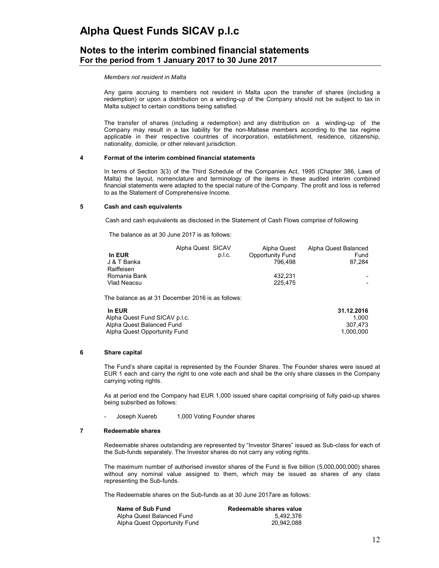# **Notes to the interim combined financial statements For the period from 1 January 2017 to 30 June 2017**

*Members not resident in Malta* 

Any gains accruing to members not resident in Malta upon the transfer of shares (including a redemption) or upon a distribution on a winding-up of the Company should not be subject to tax in Malta subject to certain conditions being satisfied.

The transfer of shares (including a redemption) and any distribution on a winding-up of the Company may result in a tax liability for the non-Maltese members according to the tax regime applicable in their respective countries of incorporation, establishment, residence, citizenship, nationality, domicile, or other relevant jurisdiction.

### **4 Format of the interim combined financial statements**

In terms of Section 3(3) of the Third Schedule of the Companies Act, 1995 (Chapter 386, Laws of Malta) the layout, nomenclature and terminology of the items in these audited interim combined financial statements were adapted to the special nature of the Company. The profit and loss is referred to as the Statement of Comprehensive Income.

### **5 Cash and cash equivalents**

Cash and cash equivalents as disclosed in the Statement of Cash Flows comprise of following

The balance as at 30 June 2017 is as follows:

|              | Alpha Quest SICAV | Alpha Quest      | Alpha Quest Balanced |
|--------------|-------------------|------------------|----------------------|
| In EUR       | p.l.c.            | Opportunity Fund | Fund                 |
| J & T Banka  |                   | 796.498          | 87.284               |
| Raiffeisen   |                   |                  |                      |
| Romania Bank |                   | 432.231          |                      |
| Vlad Neacsu  |                   | 225.475          |                      |

The balance as at 31 December 2016 is as follows:

| In EUR                        | 31.12.2016 |
|-------------------------------|------------|
| Alpha Quest Fund SICAV p.l.c. | 1.000      |
| Alpha Quest Balanced Fund     | 307.473    |
| Alpha Quest Opportunity Fund  | 1.000.000  |

### **6 Share capital**

The Fund's share capital is represented by the Founder Shares. The Founder shares were issued at EUR 1 each and carry the right to one vote each and shall be the only share classes in the Company carrying voting rights.

As at period end the Company had EUR 1,000 issued share capital comprising of fully paid-up shares being subsribed as follows:

Joseph Xuereb 1,000 Voting Founder shares

## **7 Redeemable shares**

Redeemable shares outstanding are represented by "Investor Shares" issued as Sub-class for each of the Sub-funds separately. The Investor shares do not carry any voting rights.

The maximum number of authorised investor shares of the Fund is five billion (5,000,000,000) shares without any nominal value assigned to them, which may be issued as shares of any class representing the Sub-funds.

The Redeemable shares on the Sub-funds as at 30 June 2017are as follows:

| Name of Sub Fund             | Redeemable shares value |
|------------------------------|-------------------------|
| Alpha Quest Balanced Fund    | 5.492.376               |
| Alpha Quest Opportunity Fund | 20.942.088              |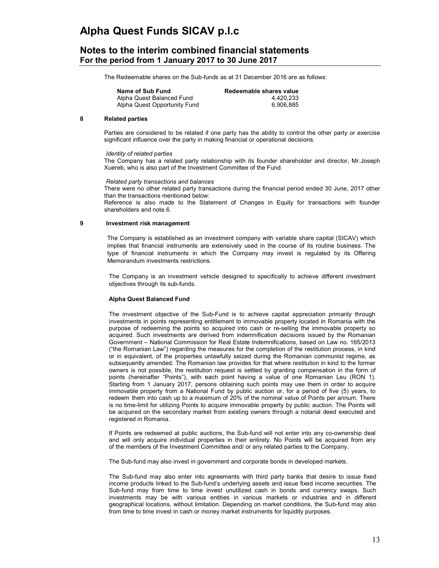## **Notes to the interim combined financial statements For the period from 1 January 2017 to 30 June 2017**

The Redeemable shares on the Sub-funds as at 31 December 2016 are as follows:

| Name of Sub Fund             | Redeemable shares value |
|------------------------------|-------------------------|
| Alpha Quest Balanced Fund    | 4.420.233               |
| Alpha Quest Opportunity Fund | 6.906.885               |

### **8 Related parties**

Parties are considered to be related if one party has the ability to control the other party or exercise significant influence over the party in making financial or operational decisions.

### *Identity of related parties*

The Company has a related party relationship with its founder shareholder and director, Mr.Joseph Xuereb, who is also part of the Investment Committee of the Fund.

### *Related party transactions and balances*

There were no other related party transactions during the financial period ended 30 June, 2017 other than the transactions mentioned below:

Reference is also made to the Statement of Changes in Equity for transactions with founder shareholders and note 6.

## **9 Investment risk management**

The Company is established as an investment company with variable share capital (SICAV) which implies that financial instruments are extensively used in the course of its routine business. The type of financial instruments in which the Company may invest is regulated by its Offering Memorandum investments restrictions.

The Company is an investment vehicle designed to specifically to achieve different investment objectives through its sub-funds.

### **Alpha Quest Balanced Fund**

The investment objective of the Sub-Fund is to achieve capital appreciation primarily through investments in points representing entitlement to immovable property located in Romania with the purpose of redeeming the points so acquired into cash or re-selling the immovable property so acquired. Such investments are derived from indemnification decisions issued by the Romanian Government – National Commission for Real Estate Indemnifications, based on Law no. 165/2013 ("the Romanian Law") regarding the measures for the completion of the restitution process, in kind or in equivalent, of the properties unlawfully seized during the Romanian communist regime, as subsequently amended. The Romanian law provides for that where restitution in kind to the former owners is not possible, the restitution request is settled by granting compensation in the form of points (hereinafter "Points"), with each point having a value of one Romanian Leu (RON 1). Starting from 1 January 2017, persons obtaining such points may use them in order to acquire immovable property from a National Fund by public auction or, for a period of five (5) years, to redeem them into cash up to a maximum of 20% of the nominal value of Points per annum. There is no time-limit for utilizing Points to acquire immovable property by public auction. The Points will be acquired on the secondary market from existing owners through a notarial deed executed and registered in Romania.

If Points are redeemed at public auctions, the Sub-fund will not enter into any co-ownership deal and will only acquire individual properties in their entirety. No Points will be acquired from any of the members of the Investment Committee and/ or any related parties to the Company.

The Sub-fund may also invest in government and corporate bonds in developed markets.

The Sub-fund may also enter into agreements with third party banks that desire to issue fixed income products linked to the Sub-fund's underlying assets and issue fixed income securities. The Sub-fund may from time to time invest unutilized cash in bonds and currency swaps. Such investments may be with various entities in various markets or industries and in different geographical locations, without limitation. Depending on market conditions, the Sub-fund may also from time to time invest in cash or money market instruments for liquidity purposes.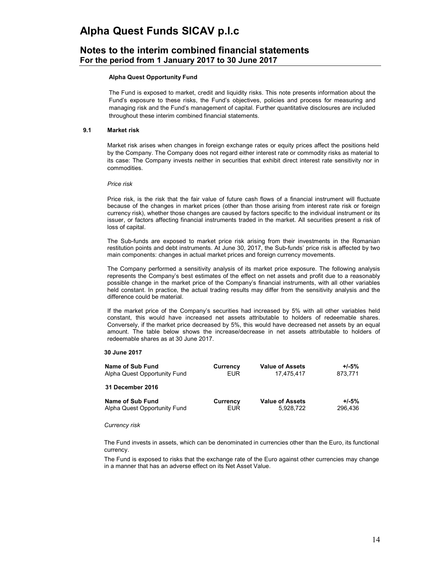# **Notes to the interim combined financial statements For the period from 1 January 2017 to 30 June 2017**

### **Alpha Quest Opportunity Fund**

The Fund is exposed to market, credit and liquidity risks. This note presents information about the Fund's exposure to these risks, the Fund's objectives, policies and process for measuring and managing risk and the Fund's management of capital. Further quantitative disclosures are included throughout these interim combined financial statements.

### **9.1 Market risk**

Market risk arises when changes in foreign exchange rates or equity prices affect the positions held by the Company. The Company does not regard either interest rate or commodity risks as material to its case: The Company invests neither in securities that exhibit direct interest rate sensitivity nor in commodities.

### *Price risk*

Price risk, is the risk that the fair value of future cash flows of a financial instrument will fluctuate because of the changes in market prices (other than those arising from interest rate risk or foreign currency risk), whether those changes are caused by factors specific to the individual instrument or its issuer, or factors affecting financial instruments traded in the market. All securities present a risk of loss of capital.

The Sub-funds are exposed to market price risk arising from their investments in the Romanian restitution points and debt instruments. At June 30, 2017, the Sub-funds' price risk is affected by two main components: changes in actual market prices and foreign currency movements.

The Company performed a sensitivity analysis of its market price exposure. The following analysis represents the Company's best estimates of the effect on net assets and profit due to a reasonably possible change in the market price of the Company's financial instruments, with all other variables held constant. In practice, the actual trading results may differ from the sensitivity analysis and the difference could be material.

If the market price of the Company's securities had increased by 5% with all other variables held constant, this would have increased net assets attributable to holders of redeemable shares. Conversely, if the market price decreased by 5%, this would have decreased net assets by an equal amount. The table below shows the increase/decrease in net assets attributable to holders of redeemable shares as at 30 June 2017.

### **30 June 2017**

| Name of Sub Fund             | Currency   | <b>Value of Assets</b> | $+/-5%$ |
|------------------------------|------------|------------------------|---------|
| Alpha Quest Opportunity Fund | <b>EUR</b> | 17.475.417             | 873,771 |
| 31 December 2016             |            |                        |         |
| Name of Sub Fund             | Currency   | <b>Value of Assets</b> | $+/-5%$ |
| Alpha Quest Opportunity Fund | <b>EUR</b> | 5.928.722              | 296.436 |

#### *Currency risk*

The Fund invests in assets, which can be denominated in currencies other than the Euro, its functional currency.

The Fund is exposed to risks that the exchange rate of the Euro against other currencies may change in a manner that has an adverse effect on its Net Asset Value.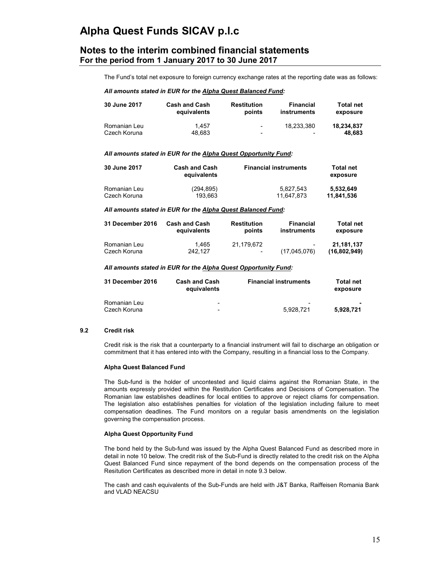## **Notes to the interim combined financial statements For the period from 1 January 2017 to 30 June 2017**

The Fund's total net exposure to foreign currency exchange rates at the reporting date was as follows:

### *All amounts stated in EUR for the Alpha Quest Balanced Fund:*

| 30 June 2017 | <b>Cash and Cash</b> | <b>Restitution</b>       | <b>Financial</b> | <b>Total net</b> |
|--------------|----------------------|--------------------------|------------------|------------------|
|              | equivalents          | points                   | instruments      | exposure         |
| Romanian Leu | 1.457                | $\overline{\phantom{a}}$ | 18.233.380       | 18.234.837       |
| Czech Koruna | 48.683               | -                        | -                | 48.683           |

### *All amounts stated in EUR for the Alpha Quest Opportunity Fund:*

| 30 June 2017 | <b>Cash and Cash</b><br>equivalents | <b>Financial instruments</b> | <b>Total net</b><br>exposure |
|--------------|-------------------------------------|------------------------------|------------------------------|
| Romanian Leu | (294, 895)                          | 5.827.543                    | 5.532.649                    |
| Czech Koruna | 193.663                             | 11.647.873                   | 11,841,536                   |

#### *All amounts stated in EUR for the Alpha Quest Balanced Fund:*

| <b>31 December 2016</b> | <b>Cash and Cash</b> | Restitution              | <b>Financial</b>         | <b>Total net</b> |
|-------------------------|----------------------|--------------------------|--------------------------|------------------|
|                         | equivalents          | points                   | instruments              | exposure         |
| Romanian Leu            | 1.465                | 21.179.672               | $\overline{\phantom{a}}$ | 21.181.137       |
| Czech Koruna            | 242.127              | $\overline{\phantom{0}}$ | (17,045,076)             | (16,802,949)     |

### *All amounts stated in EUR for the Alpha Quest Opportunity Fund:*

| <b>31 December 2016</b> | <b>Cash and Cash</b><br>equivalents | <b>Financial instruments</b> | <b>Total net</b><br>exposure |
|-------------------------|-------------------------------------|------------------------------|------------------------------|
| Romanian Leu            | -                                   | -                            | 5.928.721                    |
| Czech Koruna            | -                                   | 5.928.721                    |                              |

### **9.2 Credit risk**

Credit risk is the risk that a counterparty to a financial instrument will fail to discharge an obligation or commitment that it has entered into with the Company, resulting in a financial loss to the Company.

## **Alpha Quest Balanced Fund**

The Sub-fund is the holder of uncontested and liquid claims against the Romanian State, in the amounts expressly provided within the Restitution Certificates and Decisions of Compensation. The Romanian law establishes deadlines for local entities to approve or reject cliams for compensation. The legislation also establishes penalties for violation of the legislation including failure to meet compensation deadlines. The Fund monitors on a regular basis amendments on the legislation governing the compensation process.

### **Alpha Quest Opportunity Fund**

The bond held by the Sub-fund was issued by the Alpha Quest Balanced Fund as described more in detail in note 10 below. The credit risk of the Sub-Fund is directly related to the credit risk on the Alpha Quest Balanced Fund since repayment of the bond depends on the compensation process of the Resitution Certificates as described more in detail in note 9.3 below.

The cash and cash equivalents of the Sub-Funds are held with J&T Banka, Raiffeisen Romania Bank and VLAD NEACSU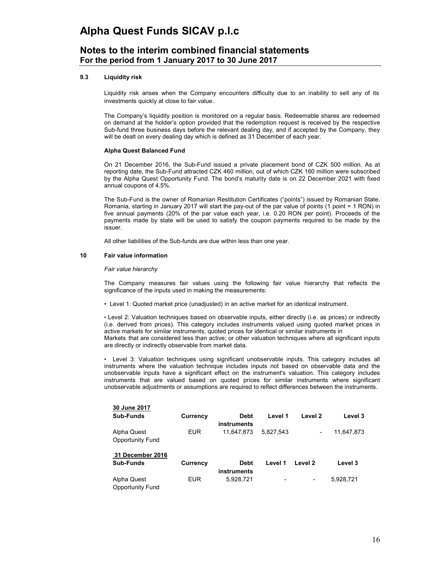# **Notes to the interim combined financial statements For the period from 1 January 2017 to 30 June 2017**

### **9.3 Liquidity risk**

Liquidity risk arises when the Company encounters difficulty due to an inability to sell any of its investments quickly at close to fair value.

The Company's liquidity position is monitored on a regular basis. Redeemable shares are redeemed on demand at the holder's option provided that the redemption request is received by the respective Sub-fund three business days before the relevant dealing day, and if accepted by the Company, they will be dealt on every dealing day which is defined as 31 December of each year.

### **Alpha Quest Balanced Fund**

On 21 December 2016, the Sub-Fund issued a private placement bond of CZK 500 million. As at reporting date, the Sub-Fund attracted CZK 460 million, out of which CZK 160 million were subscribed by the Alpha Quest Opportunity Fund. The bond's maturity date is on 22 December 2021 with fixed annual coupons of 4.5%.

The Sub-Fund is the owner of Romanian Restitution Certificates ("points") issued by Romanian State. Romania, starting in January 2017 will start the pay-out of the par value of points (1 point = 1 RON) in five annual payments (20% of the par value each year, i.e. 0.20 RON per point). Proceeds of the payments made by state will be used to satisfy the coupon payments required to be made by the issuer.

All other liabilities of the Sub-funds are due within less than one year.

## **10 Fair value information**

### *Fair value hierarchy*

The Company measures fair values using the following fair value hierarchy that reflects the significance of the inputs used in making the measurements:

• Level 1: Quoted market price (unadjusted) in an active market for an identical instrument.

• Level 2: Valuation techniques based on observable inputs, either directly (i.e. as prices) or indirectly (i.e. derived from prices). This category includes instruments valued using quoted market prices in active markets for similar instruments; quoted prices for identical or similar instruments in Markets that are considered less than active; or other valuation techniques where all significant inputs are directly or indirectly observable from market data.

• Level 3: Valuation techniques using significant unobservable inputs. This category includes all instruments where the valuation technique includes inputs not based on observable data and the unobservable inputs have a significant effect on the instrument's valuation. This category includes instruments that are valued based on quoted prices for similar instruments where significant unobservable adjustments or assumptions are required to reflect differences between the instruments.

| 30 June 2017                           |                 |                                   |           |                          |            |
|----------------------------------------|-----------------|-----------------------------------|-----------|--------------------------|------------|
| Sub-Funds                              | Currency        | Debt<br>instruments               | Level 1   | Level 2                  | Level 3    |
| Alpha Quest<br>Opportunity Fund        | <b>EUR</b>      | 11.647.873                        | 5.827.543 | $\overline{\phantom{a}}$ | 11,647,873 |
| 31 December 2016                       |                 |                                   |           |                          |            |
| Sub-Funds                              | <b>Currency</b> | <b>Debt</b><br><b>instruments</b> | Level 1   | Level 2                  | Level 3    |
| Alpha Quest<br><b>Opportunity Fund</b> | <b>EUR</b>      | 5.928.721                         | -         | $\overline{\phantom{a}}$ | 5,928,721  |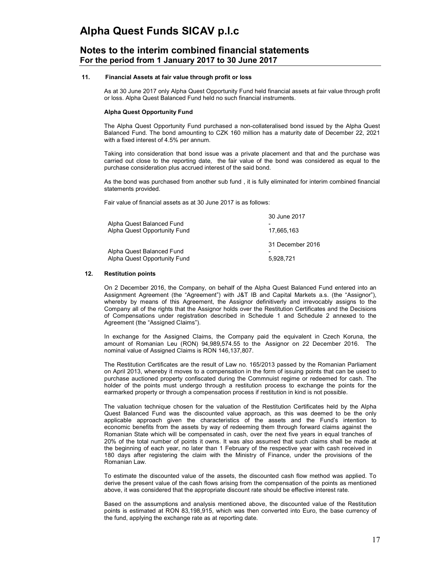## **Notes to the interim combined financial statements For the period from 1 January 2017 to 30 June 2017**

### **11. Financial Assets at fair value through profit or loss**

As at 30 June 2017 only Alpha Quest Opportunity Fund held financial assets at fair value through profit or loss. Alpha Quest Balanced Fund held no such financial instruments.

### **Alpha Quest Opportunity Fund**

The Alpha Quest Opportunity Fund purchased a non-collateralised bond issued by the Alpha Quest Balanced Fund. The bond amounting to CZK 160 million has a maturity date of December 22, 2021 with a fixed interest of 4.5% per annum.

Taking into consideration that bond issue was a private placement and that and the purchase was carried out close to the reporting date, the fair value of the bond was considered as equal to the purchase consideration plus accrued interest of the said bond.

As the bond was purchased from another sub fund , it is fully eliminated for interim combined financial statements provided.

Fair value of financial assets as at 30 June 2017 is as follows:

| Alpha Quest Balanced Fund<br>Alpha Quest Opportunity Fund | 30 June 2017<br>17.665.163 |
|-----------------------------------------------------------|----------------------------|
|                                                           | 31 December 2016           |
| Alpha Quest Balanced Fund                                 |                            |
| Alpha Quest Opportunity Fund                              | 5,928,721                  |

### **12. Restitution points**

On 2 December 2016, the Company, on behalf of the Alpha Quest Balanced Fund entered into an Assignment Agreement (the "Agreement") with J&T IB and Capital Markets a.s. (the "Assignor"), whereby by means of this Agreement, the Assignor definitiverly and irrevocably assigns to the Company all of the rights that the Assignor holds over the Restitution Certificates and the Decisions of Compensations under registration described in Schedule 1 and Schedule 2 annexed to the Agreement (the "Assigned Claims").

In exchange for the Assigned Claims, the Company paid the equivalent in Czech Koruna, the amount of Romanian Leu (RON) 94,989,574.55 to the Assignor on 22 December 2016. The nominal value of Assigned Claims is RON 146,137,807.

The Restitution Certificates are the result of Law no. 165/2013 passed by the Romanian Parliament on April 2013, whereby it moves to a compensation in the form of issuing points that can be used to purchase auctioned property confiscated during the Commnuist regime or redeemed for cash. The holder of the points must undergo through a restitution process to exchange the points for the earmarked property or through a compensation process if restitution in kind is not possible.

The valuation technique chosen for the valuation of the Restitution Certificates held by the Alpha Quest Balanced Fund was the discounted value approach, as this was deemed to be the only applicable approach given the characteristics of the assets and the Fund's intention to economic benefits from the assets by way of redeeming them through forward claims against the Romanian State which will be compensated in cash, over the next five years in equal tranches of 20% of the total number of points it owns. It was also assumed that such claims shall be made at the beginning of each year, no later than 1 February of the respective year with cash received in 180 days after registering the claim with the Ministry of Finance, under the provisions of the Romanian Law.

To estimate the discounted value of the assets, the discounted cash flow method was applied. To derive the present value of the cash flows arising from the compensation of the points as mentioned above, it was considered that the appropriate discount rate should be effective interest rate.

Based on the assumptions and analysis mentioned above, the discounted value of the Restitution points is estimated at RON 83,198,915, which was then converted into Euro, the base currency of the fund, applying the exchange rate as at reporting date.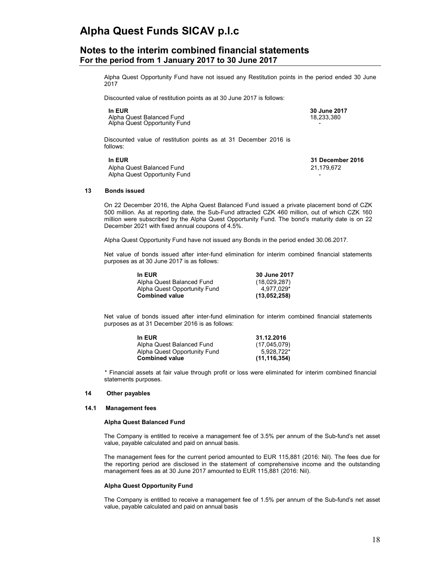## **Notes to the interim combined financial statements For the period from 1 January 2017 to 30 June 2017**

Alpha Quest Opportunity Fund have not issued any Restitution points in the period ended 30 June 2017

Discounted value of restitution points as at 30 June 2017 is follows:

| <b>In EUR</b>                | 30 ٿ |
|------------------------------|------|
| Alpha Quest Balanced Fund    | 18.2 |
| Alpha Quest Opportunity Fund |      |

**In EUR 30 June 2017** 18,233,380

Discounted value of restitution points as at 31 December 2016 is follows:

| In EUR                       | 31 December 2016 |
|------------------------------|------------------|
| Alpha Quest Balanced Fund    | 21.179.672       |
| Alpha Quest Opportunity Fund | -                |

### **13 Bonds issued**

On 22 December 2016, the Alpha Quest Balanced Fund issued a private placement bond of CZK 500 million. As at reporting date, the Sub-Fund attracted CZK 460 million, out of which CZK 160 million were subscribed by the Alpha Quest Opportunity Fund. The bond's maturity date is on 22 December 2021 with fixed annual coupons of 4.5%.

Alpha Quest Opportunity Fund have not issued any Bonds in the period ended 30.06.2017.

Net value of bonds issued after inter-fund elimination for interim combined financial statements purposes as at 30 June 2017 is as follows:

| In EUR                       | 30 June 2017 |
|------------------------------|--------------|
| Alpha Quest Balanced Fund    | (18,029,287) |
| Alpha Quest Opportunity Fund | 4.977.029*   |
| <b>Combined value</b>        | (13,052,258) |

Net value of bonds issued after inter-fund elimination for interim combined financial statements purposes as at 31 December 2016 is as follows:

| In EUR                       | 31.12.2016     |
|------------------------------|----------------|
| Alpha Quest Balanced Fund    | (17,045,079)   |
| Alpha Quest Opportunity Fund | 5.928.722*     |
| <b>Combined value</b>        | (11, 116, 354) |

\* Financial assets at fair value through profit or loss were eliminated for interim combined financial statements purposes.

### **14 Other payables**

#### **14.1 Management fees**

#### **Alpha Quest Balanced Fund**

The Company is entitled to receive a management fee of 3.5% per annum of the Sub-fund's net asset value, payable calculated and paid on annual basis.

The management fees for the current period amounted to EUR 115,881 (2016: Nil). The fees due for the reporting period are disclosed in the statement of comprehensive income and the outstanding management fees as at 30 June 2017 amounted to EUR 115,881 (2016: Nil).

#### **Alpha Quest Opportunity Fund**

The Company is entitled to receive a management fee of 1.5% per annum of the Sub-fund's net asset value, payable calculated and paid on annual basis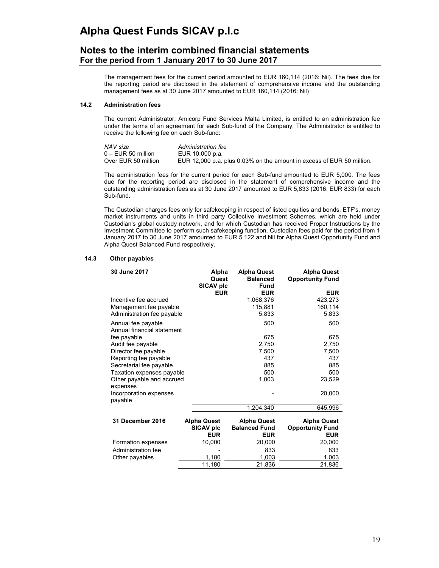## **Notes to the interim combined financial statements For the period from 1 January 2017 to 30 June 2017**

The management fees for the current period amounted to EUR 160,114 (2016: Nil). The fees due for the reporting period are disclosed in the statement of comprehensive income and the outstanding management fees as at 30 June 2017 amounted to EUR 160,114 (2016: Nil)

### **14.2 Administration fees**

The current Administrator, Amicorp Fund Services Malta Limited, is entitled to an administration fee under the terms of an agreement for each Sub-fund of the Company. The Administrator is entitled to receive the following fee on each Sub-fund:

| NAV size             | Administration fee                                                    |
|----------------------|-----------------------------------------------------------------------|
| $0 - EUR$ 50 million | EUR 10,000 p.a.                                                       |
| Over EUR 50 million  | EUR 12,000 p.a. plus 0.03% on the amount in excess of EUR 50 million. |

The administration fees for the current period for each Sub-fund amounted to EUR 5,000. The fees due for the reporting period are disclosed in the statement of comprehensive income and the outstanding administration fees as at 30 June 2017 amounted to EUR 5,833 (2016: EUR 833) for each Sub-fund.

The Custodian charges fees only for safekeeping in respect of listed equities and bonds, ETF's, money market instruments and units in third party Collective Investment Schemes, which are held under Custodian's global custody network, and for which Custodian has received Proper Instructions by the Investment Committee to perform such safekeeping function. Custodian fees paid for the period from 1 January 2017 to 30 June 2017 amounted to EUR 5,122 and Nil for Alpha Quest Opportunity Fund and Alpha Quest Balanced Fund respectively.

## **14.3 Other payables**

| 30 June 2017                          | Alpha<br>Quest     | <b>Alpha Quest</b><br><b>Balanced</b> | <b>Alpha Quest</b><br><b>Opportunity Fund</b> |
|---------------------------------------|--------------------|---------------------------------------|-----------------------------------------------|
|                                       | SICAV plc          | <b>Fund</b><br><b>EUR</b>             | <b>EUR</b>                                    |
|                                       | <b>EUR</b>         |                                       |                                               |
| Incentive fee accrued                 |                    | 1,068,376                             | 423,273                                       |
| Management fee payable                |                    | 115,881                               | 160,114                                       |
| Administration fee payable            |                    | 5,833                                 | 5,833                                         |
| Annual fee payable                    |                    | 500                                   | 500                                           |
| Annual financial statement            |                    |                                       |                                               |
| fee payable                           |                    | 675                                   | 675                                           |
| Audit fee payable                     |                    | 2,750                                 | 2,750                                         |
| Director fee payable                  |                    | 7,500                                 | 7,500                                         |
| Reporting fee payable                 |                    | 437                                   | 437                                           |
| Secretarial fee payable               |                    | 885                                   | 885                                           |
| Taxation expenses payable             |                    | 500                                   | 500                                           |
| Other payable and accrued<br>expenses |                    | 1,003                                 | 23,529                                        |
| Incorporation expenses                |                    |                                       | 20,000                                        |
| payable                               |                    |                                       |                                               |
|                                       |                    | 1,204,340                             | 645,996                                       |
| 31 December 2016                      | <b>Alpha Quest</b> | <b>Alpha Quest</b>                    | <b>Alpha Quest</b>                            |
|                                       | SICAV plc          | <b>Balanced Fund</b>                  | <b>Opportunity Fund</b>                       |
|                                       | <b>EUR</b>         | <b>EUR</b>                            | <b>EUR</b>                                    |
| Formation expenses                    | 10,000             | 20,000                                | 20,000                                        |
| Administration fee                    |                    | 833                                   | 833                                           |
| Other payables                        | 1,180              | 1,003                                 | 1,003                                         |
|                                       | 11,180             | 21,836                                | 21,836                                        |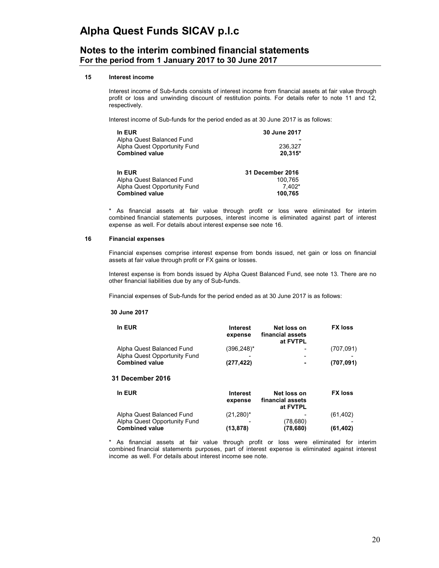## **Notes to the interim combined financial statements For the period from 1 January 2017 to 30 June 2017**

### **15 Interest income**

Interest income of Sub-funds consists of interest income from financial assets at fair value through profit or loss and unwinding discount of restitution points. For details refer to note 11 and 12, respectively.

Interest income of Sub-funds for the period ended as at 30 June 2017 is as follows:

| In EUR<br>Alpha Quest Balanced Fund<br>Alpha Quest Opportunity Fund<br><b>Combined value</b> | 30 June 2017<br>236,327<br>20.315* |
|----------------------------------------------------------------------------------------------|------------------------------------|
| In EUR                                                                                       | <b>31 December 2016</b>            |
| Alpha Quest Balanced Fund                                                                    | 100.765                            |
| Alpha Quest Opportunity Fund                                                                 | 7,402*                             |
| <b>Combined value</b>                                                                        | 100,765                            |

\* As financial assets at fair value through profit or loss were eliminated for interim combined financial statements purposes, interest income is eliminated against part of interest expense as well. For details about interest expense see note 16.

### **16 Financial expenses**

Financial expenses comprise interest expense from bonds issued, net gain or loss on financial assets at fair value through profit or FX gains or losses.

Interest expense is from bonds issued by Alpha Quest Balanced Fund, see note 13. There are no other financial liabilities due by any of Sub-funds.

Financial expenses of Sub-funds for the period ended as at 30 June 2017 is as follows:

### **30 June 2017**

| In EUR                                                    | <b>Interest</b><br>expense | Net loss on<br>financial assets<br>at FVTPL | <b>FX loss</b> |
|-----------------------------------------------------------|----------------------------|---------------------------------------------|----------------|
| Alpha Quest Balanced Fund<br>Alpha Quest Opportunity Fund | $(396, 248)^*$             | $\overline{\phantom{a}}$                    | (707,091)      |
| <b>Combined value</b><br>31 December 2016                 | (277, 422)                 | ٠                                           | (707, 091)     |

| In EUR                       | <b>Interest</b><br>expense | Net loss on<br>financial assets<br>at FVTPL | <b>FX loss</b> |
|------------------------------|----------------------------|---------------------------------------------|----------------|
| Alpha Quest Balanced Fund    | $(21,280)^*$               | -                                           | (61, 402)      |
| Alpha Quest Opportunity Fund |                            | (78,680)                                    |                |
| <b>Combined value</b>        | (13, 878)                  | (78, 680)                                   | (61, 402)      |

\* As financial assets at fair value through profit or loss were eliminated for interim combined financial statements purposes, part of interest expense is eliminated against interest income as well. For details about interest income see note.